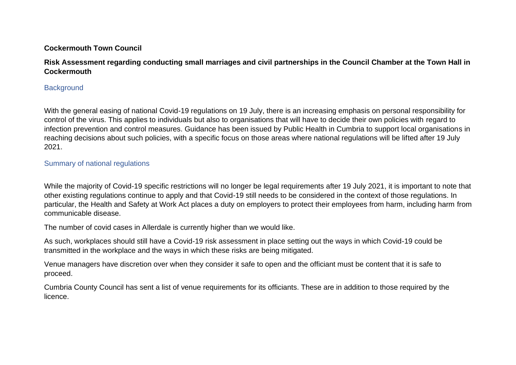## **Cockermouth Town Council**

# **Risk Assessment regarding conducting small marriages and civil partnerships in the Council Chamber at the Town Hall in Cockermouth**

## **Background**

With the general easing of national Covid-19 regulations on 19 July, there is an increasing emphasis on personal responsibility for control of the virus. This applies to individuals but also to organisations that will have to decide their own policies with regard to infection prevention and control measures. Guidance has been issued by Public Health in Cumbria to support local organisations in reaching decisions about such policies, with a specific focus on those areas where national regulations will be lifted after 19 July 2021.

## Summary of national regulations

While the majority of Covid-19 specific restrictions will no longer be legal requirements after 19 July 2021, it is important to note that other existing regulations continue to apply and that Covid-19 still needs to be considered in the context of those regulations. In particular, the Health and Safety at Work Act places a duty on employers to protect their employees from harm, including harm from communicable disease.

The number of covid cases in Allerdale is currently higher than we would like.

As such, workplaces should still have a Covid-19 risk assessment in place setting out the ways in which Covid-19 could be transmitted in the workplace and the ways in which these risks are being mitigated.

Venue managers have discretion over when they consider it safe to open and the officiant must be content that it is safe to proceed.

Cumbria County Council has sent a list of venue requirements for its officiants. These are in addition to those required by the licence.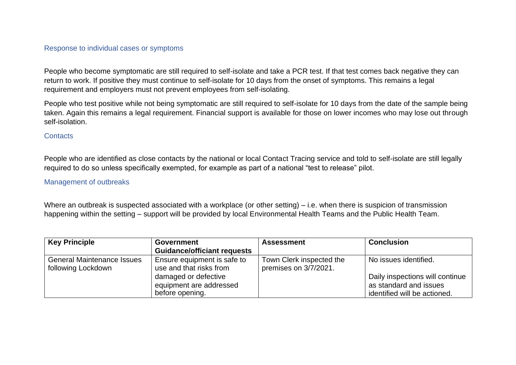### Response to individual cases or symptoms

People who become symptomatic are still required to self-isolate and take a PCR test. If that test comes back negative they can return to work. If positive they must continue to self-isolate for 10 days from the onset of symptoms. This remains a legal requirement and employers must not prevent employees from self-isolating.

People who test positive while not being symptomatic are still required to self-isolate for 10 days from the date of the sample being taken. Again this remains a legal requirement. Financial support is available for those on lower incomes who may lose out through self-isolation.

### **Contacts**

People who are identified as close contacts by the national or local Contact Tracing service and told to self-isolate are still legally required to do so unless specifically exempted, for example as part of a national "test to release" pilot.

#### Management of outbreaks

Where an outbreak is suspected associated with a workplace (or other setting) – i.e. when there is suspicion of transmission happening within the setting – support will be provided by local Environmental Health Teams and the Public Health Team.

| <b>Key Principle</b>                                    | <b>Government</b>                                                  | <b>Assessment</b>                                 | <b>Conclusion</b>                                                                         |
|---------------------------------------------------------|--------------------------------------------------------------------|---------------------------------------------------|-------------------------------------------------------------------------------------------|
|                                                         | <b>Guidance/officiant requests</b>                                 |                                                   |                                                                                           |
| <b>General Maintenance Issues</b><br>following Lockdown | Ensure equipment is safe to<br>use and that risks from             | Town Clerk inspected the<br>premises on 3/7/2021. | No issues identified.                                                                     |
|                                                         | damaged or defective<br>equipment are addressed<br>before opening. |                                                   | Daily inspections will continue<br>as standard and issues<br>identified will be actioned. |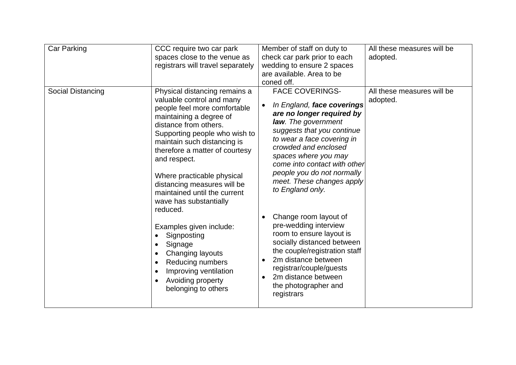| Car Parking<br>Social Distancing | CCC require two car park<br>spaces close to the venue as<br>registrars will travel separately<br>Physical distancing remains a                                                                                                                                                                                                                                                                                                                                                                                                                                                                        | Member of staff on duty to<br>check car park prior to each<br>wedding to ensure 2 spaces<br>are available. Area to be<br>coned off.<br><b>FACE COVERINGS-</b>                                                                                                                                                                                                                                                                                                                                                                                                                                                             | All these measures will be<br>adopted.<br>All these measures will be |
|----------------------------------|-------------------------------------------------------------------------------------------------------------------------------------------------------------------------------------------------------------------------------------------------------------------------------------------------------------------------------------------------------------------------------------------------------------------------------------------------------------------------------------------------------------------------------------------------------------------------------------------------------|---------------------------------------------------------------------------------------------------------------------------------------------------------------------------------------------------------------------------------------------------------------------------------------------------------------------------------------------------------------------------------------------------------------------------------------------------------------------------------------------------------------------------------------------------------------------------------------------------------------------------|----------------------------------------------------------------------|
|                                  | valuable control and many<br>people feel more comfortable<br>maintaining a degree of<br>distance from others.<br>Supporting people who wish to<br>maintain such distancing is<br>therefore a matter of courtesy<br>and respect.<br>Where practicable physical<br>distancing measures will be<br>maintained until the current<br>wave has substantially<br>reduced.<br>Examples given include:<br>Signposting<br>Signage<br>$\bullet$<br>Changing layouts<br>$\bullet$<br>Reducing numbers<br>$\bullet$<br>Improving ventilation<br>$\bullet$<br>Avoiding property<br>$\bullet$<br>belonging to others | In England, face coverings<br>$\bullet$<br>are no longer required by<br>law. The government<br>suggests that you continue<br>to wear a face covering in<br>crowded and enclosed<br>spaces where you may<br>come into contact with other<br>people you do not normally<br>meet. These changes apply<br>to England only.<br>Change room layout of<br>$\bullet$<br>pre-wedding interview<br>room to ensure layout is<br>socially distanced between<br>the couple/registration staff<br>2m distance between<br>$\bullet$<br>registrar/couple/guests<br>2m distance between<br>$\bullet$<br>the photographer and<br>registrars | adopted.                                                             |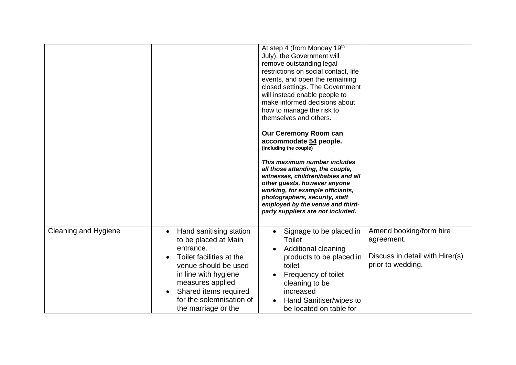|                             |                                                                                                                                                                                                                                                        | At step 4 (from Monday 19th<br>July), the Government will<br>remove outstanding legal<br>restrictions on social contact, life<br>events, and open the remaining<br>closed settings. The Government<br>will instead enable people to<br>make informed decisions about<br>how to manage the risk to<br>themselves and others.<br><b>Our Ceremony Room can</b> |                                                                                               |
|-----------------------------|--------------------------------------------------------------------------------------------------------------------------------------------------------------------------------------------------------------------------------------------------------|-------------------------------------------------------------------------------------------------------------------------------------------------------------------------------------------------------------------------------------------------------------------------------------------------------------------------------------------------------------|-----------------------------------------------------------------------------------------------|
|                             |                                                                                                                                                                                                                                                        | accommodate 54 people.<br>(including the couple)<br>This maximum number includes<br>all those attending, the couple,<br>witnesses, children/babies and all<br>other guests, however anyone<br>working, for example officiants,<br>photographers, security, staff<br>employed by the venue and third-<br>party suppliers are not included.                   |                                                                                               |
| <b>Cleaning and Hygiene</b> | Hand sanitising station<br>$\bullet$<br>to be placed at Main<br>entrance.<br>Toilet facilities at the<br>venue should be used<br>in line with hygiene<br>measures applied.<br>Shared items required<br>for the solemnisation of<br>the marriage or the | Signage to be placed in<br><b>Toilet</b><br>Additional cleaning<br>products to be placed in<br>toilet<br>Frequency of toilet<br>cleaning to be<br>increased<br>Hand Sanitiser/wipes to<br>be located on table for                                                                                                                                           | Amend booking/form hire<br>agreement.<br>Discuss in detail with Hirer(s)<br>prior to wedding. |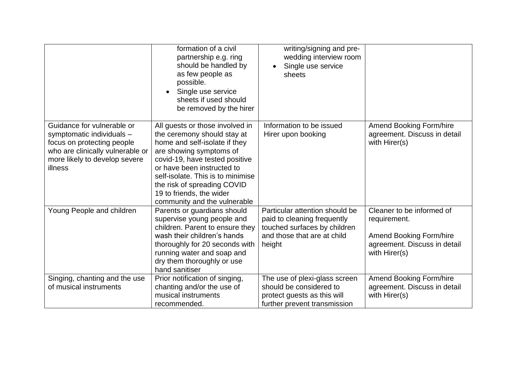|                                                                                                                                                                       | formation of a civil<br>partnership e.g. ring<br>should be handled by<br>as few people as<br>possible.<br>Single use service<br>sheets if used should<br>be removed by the hirer                                                                                                                                           | writing/signing and pre-<br>wedding interview room<br>Single use service<br>sheets                                                     |                                                                                                                              |
|-----------------------------------------------------------------------------------------------------------------------------------------------------------------------|----------------------------------------------------------------------------------------------------------------------------------------------------------------------------------------------------------------------------------------------------------------------------------------------------------------------------|----------------------------------------------------------------------------------------------------------------------------------------|------------------------------------------------------------------------------------------------------------------------------|
| Guidance for vulnerable or<br>symptomatic individuals -<br>focus on protecting people<br>who are clinically vulnerable or<br>more likely to develop severe<br>illness | All guests or those involved in<br>the ceremony should stay at<br>home and self-isolate if they<br>are showing symptoms of<br>covid-19, have tested positive<br>or have been instructed to<br>self-isolate. This is to minimise<br>the risk of spreading COVID<br>19 to friends, the wider<br>community and the vulnerable | Information to be issued<br>Hirer upon booking                                                                                         | Amend Booking Form/hire<br>agreement. Discuss in detail<br>with Hirer(s)                                                     |
| Young People and children                                                                                                                                             | Parents or guardians should<br>supervise young people and<br>children. Parent to ensure they<br>wash their children's hands<br>thoroughly for 20 seconds with<br>running water and soap and<br>dry them thoroughly or use<br>hand sanitiser                                                                                | Particular attention should be<br>paid to cleaning frequently<br>touched surfaces by children<br>and those that are at child<br>height | Cleaner to be informed of<br>requirement.<br><b>Amend Booking Form/hire</b><br>agreement. Discuss in detail<br>with Hirer(s) |
| Singing, chanting and the use<br>of musical instruments                                                                                                               | Prior notification of singing,<br>chanting and/or the use of<br>musical instruments<br>recommended.                                                                                                                                                                                                                        | The use of plexi-glass screen<br>should be considered to<br>protect guests as this will<br>further prevent transmission                | Amend Booking Form/hire<br>agreement. Discuss in detail<br>with Hirer(s)                                                     |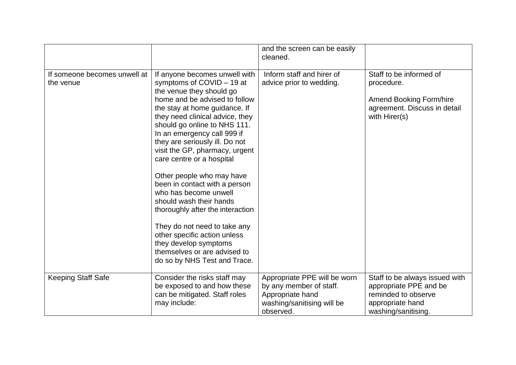|                                           |                                                                                                                                                                                                                                                                                                                                                                                                                                                                                                                                                                                                                                                                            | and the screen can be easily<br>cleaned.                                                                               |                                                                                                                            |
|-------------------------------------------|----------------------------------------------------------------------------------------------------------------------------------------------------------------------------------------------------------------------------------------------------------------------------------------------------------------------------------------------------------------------------------------------------------------------------------------------------------------------------------------------------------------------------------------------------------------------------------------------------------------------------------------------------------------------------|------------------------------------------------------------------------------------------------------------------------|----------------------------------------------------------------------------------------------------------------------------|
| If someone becomes unwell at<br>the venue | If anyone becomes unwell with<br>symptoms of COVID - 19 at<br>the venue they should go<br>home and be advised to follow<br>the stay at home guidance. If<br>they need clinical advice, they<br>should go online to NHS 111.<br>In an emergency call 999 if<br>they are seriously ill. Do not<br>visit the GP, pharmacy, urgent<br>care centre or a hospital<br>Other people who may have<br>been in contact with a person<br>who has become unwell<br>should wash their hands<br>thoroughly after the interaction<br>They do not need to take any<br>other specific action unless<br>they develop symptoms<br>themselves or are advised to<br>do so by NHS Test and Trace. | Inform staff and hirer of<br>advice prior to wedding.                                                                  | Staff to be informed of<br>procedure.<br><b>Amend Booking Form/hire</b><br>agreement. Discuss in detail<br>with Hirer(s)   |
| <b>Keeping Staff Safe</b>                 | Consider the risks staff may<br>be exposed to and how these<br>can be mitigated. Staff roles<br>may include:                                                                                                                                                                                                                                                                                                                                                                                                                                                                                                                                                               | Appropriate PPE will be worn<br>by any member of staff.<br>Appropriate hand<br>washing/sanitising will be<br>observed. | Staff to be always issued with<br>appropriate PPE and be<br>reminded to observe<br>appropriate hand<br>washing/sanitising. |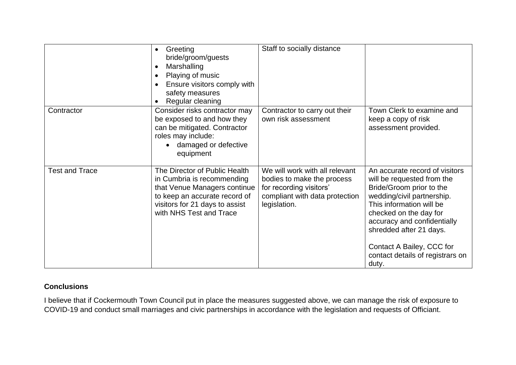|                       | Greeting<br>bride/groom/guests<br>Marshalling<br>$\bullet$<br>Playing of music<br>Ensure visitors comply with<br>safety measures<br>Regular cleaning                                      | Staff to socially distance                                                                                                                |                                                                                                                                                                                                                                                                                                                  |
|-----------------------|-------------------------------------------------------------------------------------------------------------------------------------------------------------------------------------------|-------------------------------------------------------------------------------------------------------------------------------------------|------------------------------------------------------------------------------------------------------------------------------------------------------------------------------------------------------------------------------------------------------------------------------------------------------------------|
| Contractor            | Consider risks contractor may<br>be exposed to and how they<br>can be mitigated. Contractor<br>roles may include:<br>damaged or defective<br>equipment                                    | Contractor to carry out their<br>own risk assessment                                                                                      | Town Clerk to examine and<br>keep a copy of risk<br>assessment provided.                                                                                                                                                                                                                                         |
| <b>Test and Trace</b> | The Director of Public Health<br>in Cumbria is recommending<br>that Venue Managers continue<br>to keep an accurate record of<br>visitors for 21 days to assist<br>with NHS Test and Trace | We will work with all relevant<br>bodies to make the process<br>for recording visitors'<br>compliant with data protection<br>legislation. | An accurate record of visitors<br>will be requested from the<br>Bride/Groom prior to the<br>wedding/civil partnership.<br>This information will be<br>checked on the day for<br>accuracy and confidentially<br>shredded after 21 days.<br>Contact A Bailey, CCC for<br>contact details of registrars on<br>duty. |

# **Conclusions**

I believe that if Cockermouth Town Council put in place the measures suggested above, we can manage the risk of exposure to COVID-19 and conduct small marriages and civic partnerships in accordance with the legislation and requests of Officiant.